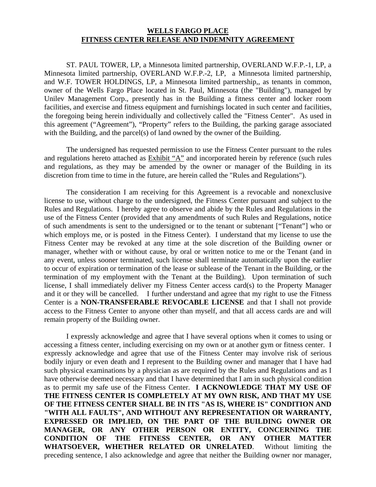## **WELLS FARGO PLACE FITNESS CENTER RELEASE AND INDEMNITY AGREEMENT**

 ST. PAUL TOWER, LP, a Minnesota limited partnership, OVERLAND W.F.P.-1, LP, a Minnesota limited partnership, OVERLAND W.F.P.-2, LP, a Minnesota limited partnership, and W.F. TOWER HOLDINGS, LP, a Minnesota limited partnership,, as tenants in common, owner of the Wells Fargo Place located in St. Paul, Minnesota (the "Building"), managed by Unilev Management Corp., presently has in the Building a fitness center and locker room facilities, and exercise and fitness equipment and furnishings located in such center and facilities, the foregoing being herein individually and collectively called the "Fitness Center". As used in this agreement ("Agreement"), "Property" refers to the Building, the parking garage associated with the Building, and the parcel(s) of land owned by the owner of the Building.

The undersigned has requested permission to use the Fitness Center pursuant to the rules and regulations hereto attached as Exhibit "A" and incorporated herein by reference (such rules and regulations, as they may be amended by the owner or manager of the Building in its discretion from time to time in the future, are herein called the "Rules and Regulations").

 The consideration I am receiving for this Agreement is a revocable and nonexclusive license to use, without charge to the undersigned, the Fitness Center pursuant and subject to the Rules and Regulations. I hereby agree to observe and abide by the Rules and Regulations in the use of the Fitness Center (provided that any amendments of such Rules and Regulations, notice of such amendments is sent to the undersigned or to the tenant or subtenant ["Tenant"] who or which employs me, or is posted in the Fitness Center). I understand that my license to use the Fitness Center may be revoked at any time at the sole discretion of the Building owner or manager, whether with or without cause, by oral or written notice to me or the Tenant (and in any event, unless sooner terminated, such license shall terminate automatically upon the earlier to occur of expiration or termination of the lease or sublease of the Tenant in the Building, or the termination of my employment with the Tenant at the Building). Upon termination of such license, I shall immediately deliver my Fitness Center access card(s) to the Property Manager and it or they will be cancelled. I further understand and agree that my right to use the Fitness Center is a **NON-TRANSFERABLE REVOCABLE LICENSE** and that I shall not provide access to the Fitness Center to anyone other than myself, and that all access cards are and will remain property of the Building owner.

 I expressly acknowledge and agree that I have several options when it comes to using or accessing a fitness center, including exercising on my own or at another gym or fitness center. I expressly acknowledge and agree that use of the Fitness Center may involve risk of serious bodily injury or even death and I represent to the Building owner and manager that I have had such physical examinations by a physician as are required by the Rules and Regulations and as I have otherwise deemed necessary and that I have determined that I am in such physical condition as to permit my safe use of the Fitness Center. **I ACKNOWLEDGE THAT MY USE OF THE FITNESS CENTER IS COMPLETELY AT MY OWN RISK, AND THAT MY USE OF THE FITNESS CENTER SHALL BE IN ITS "AS IS, WHERE IS" CONDITION AND "WITH ALL FAULTS", AND WITHOUT ANY REPRESENTATION OR WARRANTY, EXPRESSED OR IMPLIED, ON THE PART OF THE BUILDING OWNER OR MANAGER, OR ANY OTHER PERSON OR ENTITY, CONCERNING THE CONDITION OF THE FITNESS CENTER, OR ANY OTHER MATTER WHATSOEVER, WHETHER RELATED OR UNRELATED**. Without limiting the preceding sentence, I also acknowledge and agree that neither the Building owner nor manager,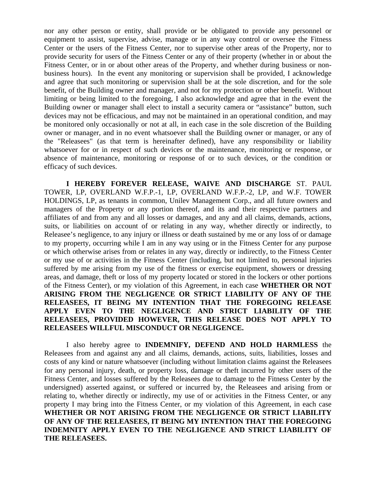nor any other person or entity, shall provide or be obligated to provide any personnel or equipment to assist, supervise, advise, manage or in any way control or oversee the Fitness Center or the users of the Fitness Center, nor to supervise other areas of the Property, nor to provide security for users of the Fitness Center or any of their property (whether in or about the Fitness Center, or in or about other areas of the Property, and whether during business or nonbusiness hours). In the event any monitoring or supervision shall be provided, I acknowledge and agree that such monitoring or supervision shall be at the sole discretion, and for the sole benefit, of the Building owner and manager, and not for my protection or other benefit. Without limiting or being limited to the foregoing, I also acknowledge and agree that in the event the Building owner or manager shall elect to install a security camera or "assistance" button, such devices may not be efficacious, and may not be maintained in an operational condition, and may be monitored only occasionally or not at all, in each case in the sole discretion of the Building owner or manager, and in no event whatsoever shall the Building owner or manager, or any of the "Releasees" (as that term is hereinafter defined), have any responsibility or liability whatsoever for or in respect of such devices or the maintenance, monitoring or response, or absence of maintenance, monitoring or response of or to such devices, or the condition or efficacy of such devices.

**I HEREBY FOREVER RELEASE, WAIVE AND DISCHARGE** ST. PAUL TOWER, LP, OVERLAND W.F.P.-1, LP, OVERLAND W.F.P.-2, LP, and W.F. TOWER HOLDINGS, LP, as tenants in common, Unilev Management Corp., and all future owners and managers of the Property or any portion thereof, and its and their respective partners and affiliates of and from any and all losses or damages, and any and all claims, demands, actions, suits, or liabilities on account of or relating in any way, whether directly or indirectly, to Releasee's negligence, to any injury or illness or death sustained by me or any loss of or damage to my property, occurring while I am in any way using or in the Fitness Center for any purpose or which otherwise arises from or relates in any way, directly or indirectly, to the Fitness Center or my use of or activities in the Fitness Center (including, but not limited to, personal injuries suffered by me arising from my use of the fitness or exercise equipment, showers or dressing areas, and damage, theft or loss of my property located or stored in the lockers or other portions of the Fitness Center), or my violation of this Agreement, in each case **WHETHER OR NOT ARISING FROM THE NEGLIGENCE OR STRICT LIABILITY OF ANY OF THE RELEASEES, IT BEING MY INTENTION THAT THE FOREGOING RELEASE APPLY EVEN TO THE NEGLIGENCE AND STRICT LIABILITY OF THE RELEASEES, PROVIDED HOWEVER, THIS RELEASE DOES NOT APPLY TO RELEASEES WILLFUL MISCONDUCT OR NEGLIGENCE.** 

I also hereby agree to **INDEMNIFY, DEFEND AND HOLD HARMLESS** the Releasees from and against any and all claims, demands, actions, suits, liabilities, losses and costs of any kind or nature whatsoever (including without limitation claims against the Releasees for any personal injury, death, or property loss, damage or theft incurred by other users of the Fitness Center, and losses suffered by the Releasees due to damage to the Fitness Center by the undersigned) asserted against, or suffered or incurred by, the Releasees and arising from or relating to, whether directly or indirectly, my use of or activities in the Fitness Center, or any property I may bring into the Fitness Center, or my violation of this Agreement, in each case **WHETHER OR NOT ARISING FROM THE NEGLIGENCE OR STRICT LIABILITY OF ANY OF THE RELEASEES, IT BEING MY INTENTION THAT THE FOREGOING INDEMNITY APPLY EVEN TO THE NEGLIGENCE AND STRICT LIABILITY OF THE RELEASEES.**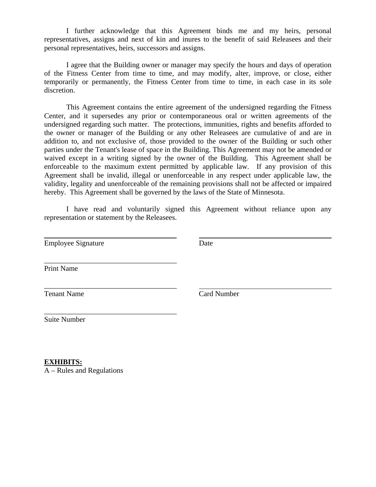I further acknowledge that this Agreement binds me and my heirs, personal representatives, assigns and next of kin and inures to the benefit of said Releasees and their personal representatives, heirs, successors and assigns.

I agree that the Building owner or manager may specify the hours and days of operation of the Fitness Center from time to time, and may modify, alter, improve, or close, either temporarily or permanently, the Fitness Center from time to time, in each case in its sole discretion.

This Agreement contains the entire agreement of the undersigned regarding the Fitness Center, and it supersedes any prior or contemporaneous oral or written agreements of the undersigned regarding such matter. The protections, immunities, rights and benefits afforded to the owner or manager of the Building or any other Releasees are cumulative of and are in addition to, and not exclusive of, those provided to the owner of the Building or such other parties under the Tenant's lease of space in the Building. This Agreement may not be amended or waived except in a writing signed by the owner of the Building. This Agreement shall be enforceable to the maximum extent permitted by applicable law. If any provision of this Agreement shall be invalid, illegal or unenforceable in any respect under applicable law, the validity, legality and unenforceable of the remaining provisions shall not be affected or impaired hereby. This Agreement shall be governed by the laws of the State of Minnesota.

I have read and voluntarily signed this Agreement without reliance upon any representation or statement by the Releasees.

Employee Signature Date

\_\_\_\_\_\_\_\_\_\_\_\_\_\_\_\_\_\_\_\_\_\_\_\_\_\_\_\_\_\_\_\_\_\_\_\_

\_\_\_\_\_\_\_\_\_\_\_\_\_\_\_\_\_\_\_\_\_\_\_\_\_\_\_\_\_\_\_\_\_\_\_\_

\_\_\_\_\_\_\_\_\_\_\_\_\_\_\_\_\_\_\_\_\_\_\_\_\_\_\_\_\_\_\_\_\_\_\_\_

Print Name

 $\overline{a}$ 

Tenant Name Card Number

Suite Number

**EXHIBITS:** A – Rules and Regulations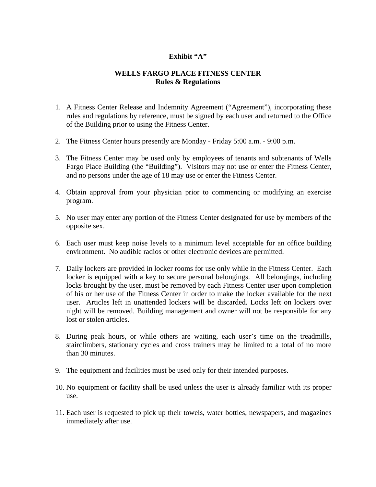## **Exhibit "A"**

## **WELLS FARGO PLACE FITNESS CENTER Rules & Regulations**

- 1. A Fitness Center Release and Indemnity Agreement ("Agreement"), incorporating these rules and regulations by reference, must be signed by each user and returned to the Office of the Building prior to using the Fitness Center.
- 2. The Fitness Center hours presently are Monday Friday 5:00 a.m. 9:00 p.m.
- 3. The Fitness Center may be used only by employees of tenants and subtenants of Wells Fargo Place Building (the "Building"). Visitors may not use or enter the Fitness Center, and no persons under the age of 18 may use or enter the Fitness Center.
- 4. Obtain approval from your physician prior to commencing or modifying an exercise program.
- 5. No user may enter any portion of the Fitness Center designated for use by members of the opposite sex.
- 6. Each user must keep noise levels to a minimum level acceptable for an office building environment. No audible radios or other electronic devices are permitted.
- 7. Daily lockers are provided in locker rooms for use only while in the Fitness Center. Each locker is equipped with a key to secure personal belongings. All belongings, including locks brought by the user, must be removed by each Fitness Center user upon completion of his or her use of the Fitness Center in order to make the locker available for the next user. Articles left in unattended lockers will be discarded. Locks left on lockers over night will be removed. Building management and owner will not be responsible for any lost or stolen articles.
- 8. During peak hours, or while others are waiting, each user's time on the treadmills, stairclimbers, stationary cycles and cross trainers may be limited to a total of no more than 30 minutes.
- 9. The equipment and facilities must be used only for their intended purposes.
- 10. No equipment or facility shall be used unless the user is already familiar with its proper use.
- 11. Each user is requested to pick up their towels, water bottles, newspapers, and magazines immediately after use.